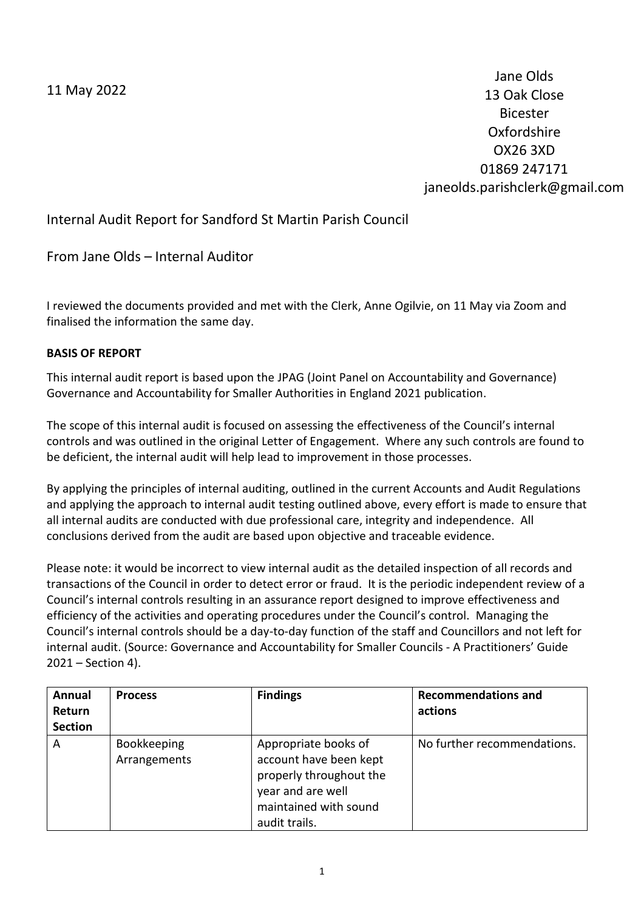11 May 2022

Jane Olds 13 Oak Close Bicester Oxfordshire OX26 3XD 01869 247171 janeolds.parishclerk@gmail.com

Internal Audit Report for Sandford St Martin Parish Council

From Jane Olds – Internal Auditor

I reviewed the documents provided and met with the Clerk, Anne Ogilvie, on 11 May via Zoom and finalised the information the same day.

# **BASIS OF REPORT**

This internal audit report is based upon the JPAG (Joint Panel on Accountability and Governance) Governance and Accountability for Smaller Authorities in England 2021 publication.

The scope of this internal audit is focused on assessing the effectiveness of the Council's internal controls and was outlined in the original Letter of Engagement. Where any such controls are found to be deficient, the internal audit will help lead to improvement in those processes.

By applying the principles of internal auditing, outlined in the current Accounts and Audit Regulations and applying the approach to internal audit testing outlined above, every effort is made to ensure that all internal audits are conducted with due professional care, integrity and independence. All conclusions derived from the audit are based upon objective and traceable evidence.

Please note: it would be incorrect to view internal audit as the detailed inspection of all records and transactions of the Council in order to detect error or fraud. It is the periodic independent review of a Council's internal controls resulting in an assurance report designed to improve effectiveness and efficiency of the activities and operating procedures under the Council's control. Managing the Council's internal controls should be a day-to-day function of the staff and Councillors and not left for internal audit. (Source: Governance and Accountability for Smaller Councils - A Practitioners' Guide 2021 – Section 4).

| Annual<br>Return<br><b>Section</b> | <b>Process</b>              | <b>Findings</b>                                                                                                                          | <b>Recommendations and</b><br>actions |
|------------------------------------|-----------------------------|------------------------------------------------------------------------------------------------------------------------------------------|---------------------------------------|
| A                                  | Bookkeeping<br>Arrangements | Appropriate books of<br>account have been kept<br>properly throughout the<br>year and are well<br>maintained with sound<br>audit trails. | No further recommendations.           |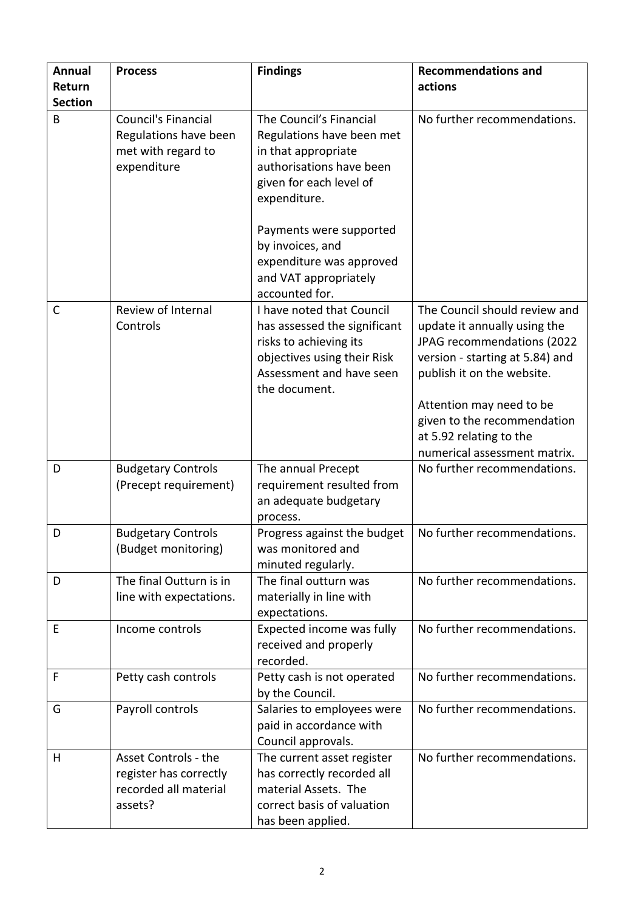| <b>Annual</b>  | <b>Process</b>                                                                            | <b>Findings</b>                                                                                                                                                                                                                                                          | <b>Recommendations and</b>                                                                                                                                                                                                                                                         |
|----------------|-------------------------------------------------------------------------------------------|--------------------------------------------------------------------------------------------------------------------------------------------------------------------------------------------------------------------------------------------------------------------------|------------------------------------------------------------------------------------------------------------------------------------------------------------------------------------------------------------------------------------------------------------------------------------|
| Return         |                                                                                           |                                                                                                                                                                                                                                                                          | actions                                                                                                                                                                                                                                                                            |
| <b>Section</b> |                                                                                           |                                                                                                                                                                                                                                                                          |                                                                                                                                                                                                                                                                                    |
| B              | <b>Council's Financial</b><br>Regulations have been<br>met with regard to<br>expenditure  | The Council's Financial<br>Regulations have been met<br>in that appropriate<br>authorisations have been<br>given for each level of<br>expenditure.<br>Payments were supported<br>by invoices, and<br>expenditure was approved<br>and VAT appropriately<br>accounted for. | No further recommendations.                                                                                                                                                                                                                                                        |
| $\mathsf{C}$   | Review of Internal<br>Controls                                                            | I have noted that Council<br>has assessed the significant<br>risks to achieving its<br>objectives using their Risk<br>Assessment and have seen<br>the document.                                                                                                          | The Council should review and<br>update it annually using the<br>JPAG recommendations (2022<br>version - starting at 5.84) and<br>publish it on the website.<br>Attention may need to be<br>given to the recommendation<br>at 5.92 relating to the<br>numerical assessment matrix. |
| D              | <b>Budgetary Controls</b><br>(Precept requirement)                                        | The annual Precept<br>requirement resulted from<br>an adequate budgetary<br>process.                                                                                                                                                                                     | No further recommendations.                                                                                                                                                                                                                                                        |
| D              | <b>Budgetary Controls</b><br>(Budget monitoring)                                          | Progress against the budget<br>was monitored and<br>minuted regularly.                                                                                                                                                                                                   | No further recommendations.                                                                                                                                                                                                                                                        |
| D              | The final Outturn is in<br>line with expectations.                                        | The final outturn was<br>materially in line with<br>expectations.                                                                                                                                                                                                        | No further recommendations.                                                                                                                                                                                                                                                        |
| E              | Income controls                                                                           | Expected income was fully<br>received and properly<br>recorded.                                                                                                                                                                                                          | No further recommendations.                                                                                                                                                                                                                                                        |
| F              | Petty cash controls                                                                       | Petty cash is not operated<br>by the Council.                                                                                                                                                                                                                            | No further recommendations.                                                                                                                                                                                                                                                        |
| G              | Payroll controls                                                                          | Salaries to employees were<br>paid in accordance with<br>Council approvals.                                                                                                                                                                                              | No further recommendations.                                                                                                                                                                                                                                                        |
| H              | <b>Asset Controls - the</b><br>register has correctly<br>recorded all material<br>assets? | The current asset register<br>has correctly recorded all<br>material Assets. The<br>correct basis of valuation<br>has been applied.                                                                                                                                      | No further recommendations.                                                                                                                                                                                                                                                        |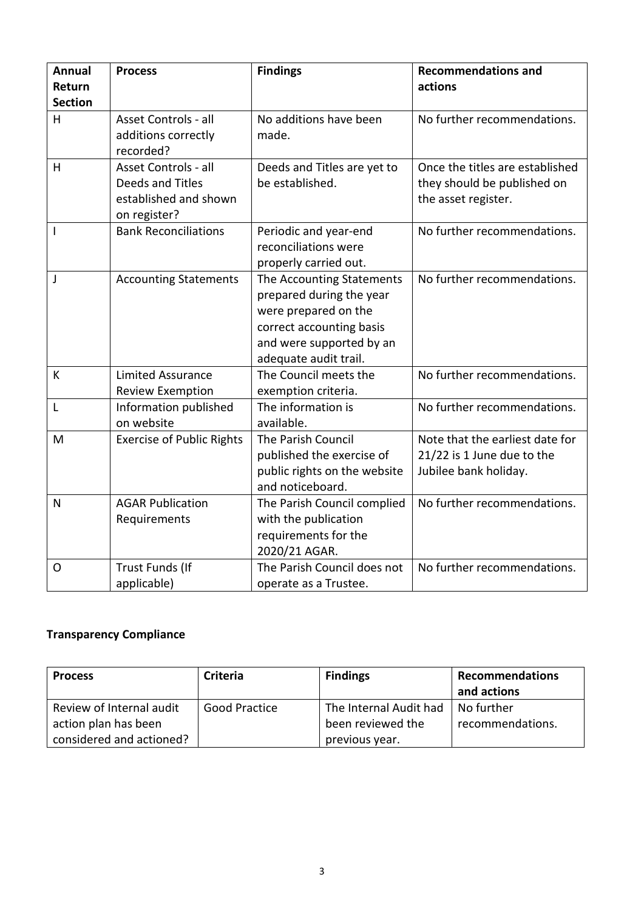| <b>Annual</b><br>Return<br><b>Section</b> | <b>Process</b>                                                                    | <b>Findings</b>                                                                                                                                                | <b>Recommendations and</b><br>actions                                                  |
|-------------------------------------------|-----------------------------------------------------------------------------------|----------------------------------------------------------------------------------------------------------------------------------------------------------------|----------------------------------------------------------------------------------------|
| H                                         | Asset Controls - all<br>additions correctly<br>recorded?                          | No additions have been<br>made.                                                                                                                                | No further recommendations.                                                            |
| H                                         | Asset Controls - all<br>Deeds and Titles<br>established and shown<br>on register? | Deeds and Titles are yet to<br>be established.                                                                                                                 | Once the titles are established<br>they should be published on<br>the asset register.  |
| $\mathbf{I}$                              | <b>Bank Reconciliations</b>                                                       | Periodic and year-end<br>reconciliations were<br>properly carried out.                                                                                         | No further recommendations.                                                            |
| J                                         | <b>Accounting Statements</b>                                                      | The Accounting Statements<br>prepared during the year<br>were prepared on the<br>correct accounting basis<br>and were supported by an<br>adequate audit trail. | No further recommendations.                                                            |
| K                                         | <b>Limited Assurance</b><br><b>Review Exemption</b>                               | The Council meets the<br>exemption criteria.                                                                                                                   | No further recommendations.                                                            |
| $\mathsf{L}$                              | Information published<br>on website                                               | The information is<br>available.                                                                                                                               | No further recommendations.                                                            |
| M                                         | <b>Exercise of Public Rights</b>                                                  | The Parish Council<br>published the exercise of<br>public rights on the website<br>and noticeboard.                                                            | Note that the earliest date for<br>21/22 is 1 June due to the<br>Jubilee bank holiday. |
| N                                         | <b>AGAR Publication</b><br>Requirements                                           | The Parish Council complied<br>with the publication<br>requirements for the<br>2020/21 AGAR.                                                                   | No further recommendations.                                                            |
| O                                         | Trust Funds (If<br>applicable)                                                    | The Parish Council does not<br>operate as a Trustee.                                                                                                           | No further recommendations.                                                            |

# **Transparency Compliance**

| <b>Process</b>           | Criteria      | <b>Findings</b>        | <b>Recommendations</b><br>and actions |
|--------------------------|---------------|------------------------|---------------------------------------|
| Review of Internal audit | Good Practice | The Internal Audit had | No further                            |
| action plan has been     |               | been reviewed the      | recommendations.                      |
| considered and actioned? |               | previous year.         |                                       |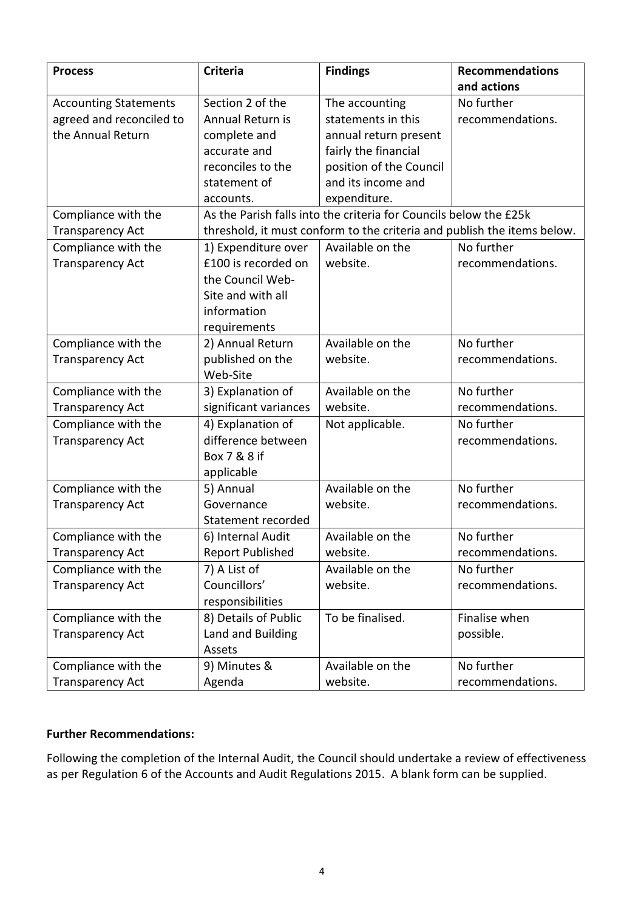| <b>Process</b>               | <b>Criteria</b>                                                         | <b>Findings</b>                                                   | <b>Recommendations</b> |
|------------------------------|-------------------------------------------------------------------------|-------------------------------------------------------------------|------------------------|
|                              |                                                                         |                                                                   | and actions            |
| <b>Accounting Statements</b> | Section 2 of the                                                        | The accounting                                                    | No further             |
| agreed and reconciled to     | Annual Return is                                                        | statements in this                                                | recommendations.       |
| the Annual Return            | complete and                                                            | annual return present                                             |                        |
|                              | accurate and                                                            | fairly the financial                                              |                        |
|                              | reconciles to the                                                       | position of the Council                                           |                        |
|                              | statement of                                                            | and its income and                                                |                        |
|                              | accounts.                                                               | expenditure.                                                      |                        |
| Compliance with the          |                                                                         | As the Parish falls into the criteria for Councils below the £25k |                        |
| <b>Transparency Act</b>      | threshold, it must conform to the criteria and publish the items below. |                                                                   |                        |
| Compliance with the          | 1) Expenditure over                                                     | Available on the                                                  | No further             |
| <b>Transparency Act</b>      | £100 is recorded on                                                     | website.                                                          | recommendations.       |
|                              | the Council Web-                                                        |                                                                   |                        |
|                              | Site and with all                                                       |                                                                   |                        |
|                              | information                                                             |                                                                   |                        |
|                              | requirements                                                            |                                                                   |                        |
| Compliance with the          | 2) Annual Return                                                        | Available on the                                                  | No further             |
| <b>Transparency Act</b>      | published on the                                                        | website.                                                          | recommendations.       |
|                              | Web-Site                                                                |                                                                   |                        |
| Compliance with the          | 3) Explanation of                                                       | Available on the                                                  | No further             |
| <b>Transparency Act</b>      | significant variances                                                   | website.                                                          | recommendations.       |
| Compliance with the          | 4) Explanation of                                                       | Not applicable.                                                   | No further             |
| <b>Transparency Act</b>      | difference between                                                      |                                                                   | recommendations.       |
|                              | Box 7 & 8 if                                                            |                                                                   |                        |
|                              | applicable                                                              |                                                                   |                        |
| Compliance with the          | 5) Annual                                                               | Available on the                                                  | No further             |
| <b>Transparency Act</b>      | Governance                                                              | website.                                                          | recommendations.       |
|                              | Statement recorded                                                      |                                                                   |                        |
| Compliance with the          | 6) Internal Audit                                                       | Available on the                                                  | No further             |
| <b>Transparency Act</b>      | <b>Report Published</b>                                                 | website.                                                          | recommendations.       |
| Compliance with the          | 7) A List of                                                            | Available on the                                                  | No further             |
| <b>Transparency Act</b>      | Councillors'                                                            | website.                                                          | recommendations.       |
|                              | responsibilities                                                        |                                                                   |                        |
| Compliance with the          | 8) Details of Public                                                    | To be finalised.                                                  | Finalise when          |
| <b>Transparency Act</b>      | Land and Building                                                       |                                                                   | possible.              |
|                              | Assets                                                                  |                                                                   |                        |
| Compliance with the          | 9) Minutes &                                                            | Available on the                                                  | No further             |
| <b>Transparency Act</b>      | Agenda                                                                  | website.                                                          | recommendations.       |

# **Further Recommendations:**

Following the completion of the Internal Audit, the Council should undertake a review of effectiveness as per Regulation 6 of the Accounts and Audit Regulations 2015. A blank form can be supplied.